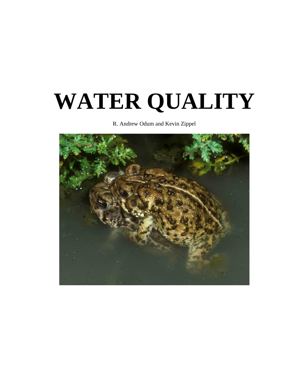# **WATER QUALITY**

R. Andrew Odum and Kevin Zippel

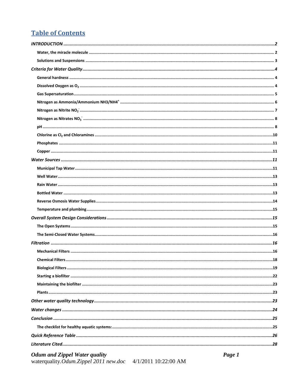## **Table of Contents**

| <b>Odum and Zippel Water quality</b> | Page 1 |
|--------------------------------------|--------|
|                                      |        |
|                                      |        |
|                                      |        |
|                                      |        |
|                                      |        |
|                                      |        |
|                                      |        |
|                                      |        |
|                                      |        |
|                                      |        |
|                                      |        |
|                                      |        |
|                                      |        |
|                                      |        |
|                                      |        |
|                                      |        |
|                                      |        |
|                                      |        |
|                                      |        |
|                                      |        |
|                                      |        |
|                                      |        |
|                                      |        |
|                                      |        |
|                                      |        |
|                                      |        |
|                                      |        |
|                                      |        |
|                                      |        |
|                                      |        |
|                                      |        |
|                                      |        |
|                                      |        |
|                                      |        |
|                                      |        |
|                                      |        |
|                                      |        |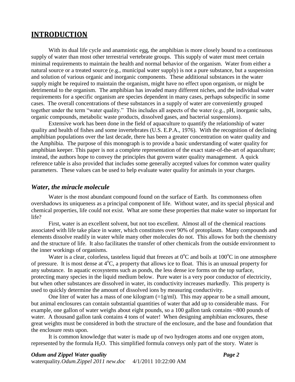## <span id="page-2-0"></span>**INTRODUCTION**

With its dual life cycle and anamniotic egg, the amphibian is more closely bound to a continuous supply of water than most other terrestrial vertebrate groups. This supply of water must meet certain minimal requirements to maintain the health and normal behavior of the organism. Water from either a natural source or a treated source (e.g., municipal water supply) is not a pure substance, but a suspension and solution of various organic and inorganic components. These additional substances in the water supply might be required to maintain the organism, might have no effect upon organism, or might be detrimental to the organism. The amphibian has invaded many different niches, and the individual water requirements for a specific organism are species dependent in many cases, perhaps subspecific in some cases. The overall concentrations of these substances in a supply of water are conveniently grouped together under the term "water quality." This includes all aspects of the water (e.g., pH, inorganic salts, organic compounds, metabolic waste products, dissolved gases, and bacterial suspensions).

Extensive work has been done in the field of aquaculture to quantify the relationship of water quality and health of fishes and some invertebrates (U.S. E.P.A., 1976). With the recognition of declining amphibian populations over the last decade, there has been a greater concentration on water quality and the Amphibia. The purpose of this monograph is to provide a basic understanding of water quality for amphibian keeper. This paper is not a complete representation of the exact state-of-the-art of aquaculture; instead, the authors hope to convey the principles that govern water quality management. A quick reference table is also provided that includes some generally accepted values for common water quality parameters. These values can be used to help evaluate water quality for animals in your charges.

#### <span id="page-2-1"></span>*Water, the miracle molecule*

Water is the most abundant compound found on the surface of Earth. Its commonness often overshadows its uniqueness as a principal component of life. Without water, and its special physical and chemical properties, life could not exist. What are some these properties that make water so important for life?

First, water is an excellent solvent, but not too excellent. Almost all of the chemical reactions associated with life take place in water, which constitutes over 90% of protoplasm. Many compounds and elements dissolve readily in water while many other molecules do not. This allows for both the chemistry and the structure of life. It also facilitates the transfer of other chemicals from the outside environment to the inner workings of organisms.

Water is a clear, colorless, tasteless liquid that freezes at  $0^{\circ}$ C and boils at  $100^{\circ}$ C in one atmosphere of pressure. It is most dense at  $4^{\circ}C$ , a property that allows ice to float. This is an unusual property for any substance. In aquatic ecosystems such as ponds, the less dense ice forms on the top surface, protecting many species in the liquid medium below. Pure water is a very poor conductor of electricity, but when other substances are dissolved in water, its conductivity increases markedly. This property is used to quickly determine the amount of dissolved ions by measuring conductivity.

One liter of water has a mass of one kilogram  $(=1g/ml)$ . This may appear to be a small amount, but animal enclosures can contain substantial quantities of water that add up to considerable mass. For example, one gallon of water weighs about eight pounds, so a 100 gallon tank contains ~800 pounds of water. A thousand gallon tank contains 4 tons of water! When designing amphibian enclosures, these great weights must be considered in both the structure of the enclosure, and the base and foundation that the enclosure rests upon.

It is common knowledge that water is made up of two hydrogen atoms and one oxygen atom, represented by the formula  $H_2O$ . This simplified formula conveys only part of the story. Water is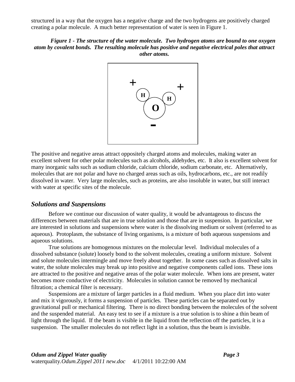structured in a way that the oxygen has a negative charge and the two hydrogens are positively charged creating a polar molecule. A much better representation of water is seen in Figure 1.

#### *Figure 1 - The structure of the water molecule. Two hydrogen atoms are bound to one oxygen atom by covalent bonds. The resulting molecule has positive and negative electrical poles that attract other atoms.*



The positive and negative areas attract oppositely charged atoms and molecules, making water an excellent solvent for other polar molecules such as alcohols, aldehydes, etc. It also is excellent solvent for many inorganic salts such as sodium chloride, calcium chloride, sodium carbonate, etc. Alternatively, molecules that are not polar and have no charged areas such as oils, hydrocarbons, etc., are not readily dissolved in water. Very large molecules, such as proteins, are also insoluble in water, but still interact with water at specific sites of the molecule.

#### <span id="page-3-0"></span>*Solutions and Suspensions*

Before we continue our discussion of water quality, it would be advantageous to discuss the differences between materials that are in true solution and those that are in suspension. In particular, we are interested in solutions and suspensions where water is the dissolving medium or solvent (referred to as aqueous). Protoplasm, the substance of living organisms, is a mixture of both aqueous suspensions and aqueous solutions.

True solutions are homogenous mixtures on the molecular level. Individual molecules of a dissolved substance (solute) loosely bond to the solvent molecules, creating a uniform mixture. Solvent and solute molecules intermingle and move freely about together. In some cases such as dissolved salts in water, the solute molecules may break up into positive and negative components called ions. These ions are attracted to the positive and negative areas of the polar water molecule. When ions are present, water becomes more conductive of electricity. Molecules in solution cannot be removed by mechanical filtration; a chemical filter is necessary.

Suspensions are a mixture of larger particles in a fluid medium. When you place dirt into water and mix it vigorously, it forms a suspension of particles. These particles can be separated out by gravitational pull or mechanical filtering. There is no direct bonding between the molecules of the solvent and the suspended material. An easy test to see if a mixture is a true solution is to shine a thin beam of light through the liquid. If the beam is visible in the liquid from the reflection off the particles, it is a suspension. The smaller molecules do not reflect light in a solution, thus the beam is invisible.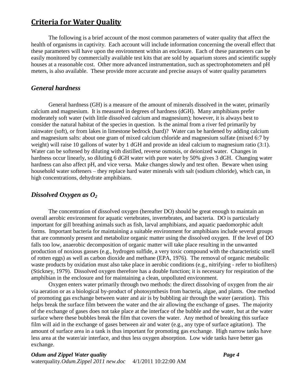## <span id="page-4-0"></span>**Criteria for Water Quality**

The following is a brief account of the most common parameters of water quality that affect the health of organisms in captivity. Each account will include information concerning the overall effect that these parameters will have upon the environment within an enclosure. Each of these parameters can be easily monitored by commercially available test kits that are sold by aquarium stores and scientific supply houses at a reasonable cost. Other more advanced instrumentation, such as spectrophotometers and pH meters, is also available. These provide more accurate and precise assays of water quality parameters

#### <span id="page-4-1"></span>*General hardness*

General hardness (GH) is a measure of the amount of minerals dissolved in the water, primarily calcium and magnesium. It is measured in degrees of hardness (dGH). Many amphibians prefer moderately soft water (with little dissolved calcium and magnesium); however, it is always best to consider the natural habitat of the species in question. Is the animal from a river fed primarily by rainwater (soft), or from lakes in limestone bedrock (hard)? Water can be hardened by adding calcium and magnesium salts: about one gram of mixed calcium chloride and magnesium sulfate (mixed 6:7 by weight) will raise 10 gallons of water by 1 dGH and provide an ideal calcium to magnesium ratio (3:1). Water can be softened by diluting with distilled, reverse osmosis, or deionized water. Changes in hardness occur linearly, so diluting 6 dGH water with pure water by 50% gives 3 dGH. Changing water hardness can also affect pH, and vice versa. Make changes slowly and test often. Beware when using household water softeners – they replace hard water minerals with salt (sodium chloride), which can, in high concentrations, dehydrate amphibians.

#### <span id="page-4-2"></span>*Dissolved Oxygen as O<sup>2</sup>*

The concentration of dissolved oxygen (hereafter DO) should be great enough to maintain an overall aerobic environment for aquatic vertebrates, invertebrates, and bacteria. DO is particularly important for gill breathing animals such as fish, larval amphibians, and aquatic paedomorphic adult forms. Important bacteria for maintaining a suitable environment for amphibians include several groups that are commonly present and metabolize organic matter using the dissolved oxygen. If the level of DO falls too low, anaerobic decomposition of organic matter will take place resulting in the unwanted production of noxious gasses (e.g., hydrogen sulfide, a very toxic compound with the characteristic smell of rotten eggs) as well as carbon dioxide and methane (EPA, 1976). The removal of organic metabolic waste products by oxidation must also take place in aerobic conditions (e.g., nitrifying - refer to biofilters) [\(Stickney, 1979\)](#page-29-0). Dissolved oxygen therefore has a double function; it is necessary for respiration of the amphibian in the enclosure and for maintaining a clean, unpolluted environment.

Oxygen enters water primarily through two methods: the direct dissolving of oxygen from the air via aeration or as a biological by-product of photosynthesis from bacteria, algae, and plants. One method of promoting gas exchange between water and air is by bubbling air through the water (aeration). This helps break the surface film between the water and the air allowing the exchange of gases. The majority of the exchange of gases does not take place at the interface of the bubble and the water, but at the water surface where these bubbles break the film that covers the water. Any method of breaking this surface film will aid in the exchange of gases between air and water (e.g., any type of surface agitation). The amount of surface area in a tank is thus important for promoting gas exchange. High narrow tanks have less area at the water/air interface, and thus less oxygen absorption. Low wide tanks have better gas exchange.

#### *Odum and Zippel Water quality Page 4* waterquality*.Odum.Zippel 2011 new.doc* 4/1/2011 10:22:00 AM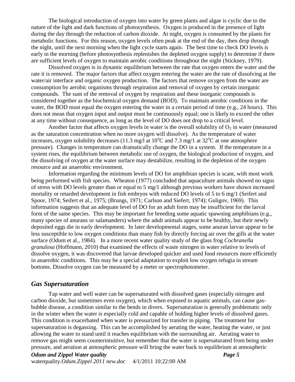The biological introduction of oxygen into water by green plants and algae is cyclic due to the nature of the light and dark functions of photosynthesis. Oxygen is produced in the presence of light during the day through the reduction of carbon dioxide. At night, oxygen is consumed by the plants for metabolic functions. For this reason, oxygen levels often peak at the end of the day, then drop through the night, until the next morning when the light cycle starts again. The best time to check DO levels is early in the morning (before photosynthesis replenishes the depleted oxygen supply) to determine if there are sufficient levels of oxygen to maintain aerobic conditions throughout the night [\(Stickney, 1979\)](#page-29-0).

Dissolved oxygen is in dynamic equilibrium between the rate that oxygen enters the water and the rate it is removed. The major factors that affect oxygen entering the water are the rate of dissolving at the water/air interface and organic oxygen production. The factors that remove oxygen from the water are consumption by aerobic organisms through respiration and removal of oxygen by certain inorganic compounds. The sum of the removal of oxygen by respiration and these inorganic compounds is considered together as the biochemical oxygen demand (BOD). To maintain aerobic conditions in the water, the BOD must equal the oxygen entering the water in a certain period of time (e.g., 24 hours). This does not mean that oxygen input and output must be continuously equal; one is likely to exceed the other at any time without consequence, as long as the level of DO does not drop to a critical level.

Another factor that affects oxygen levels in water is the overall solubility of  $O_2$  in water (measured as the saturation concentration when no more oxygen will dissolve). As the temperature of water increases, oxygen solubility decreases (11.3 mg/l at  $10^{\circ}$ C and 7.3 mg/l at  $32^{\circ}$ C at one atmosphere pressure). Changes in temperature can dramatically change the DO in a system. If the temperature in a system rises, the equilibrium between metabolic use of oxygen, the biological production of oxygen, and the dissolving of oxygen at the water surface may destabilize, resulting in the depletion of the oxygen resource and an anaerobic environment.

Information regarding the minimum levels of DO for amphibian species is scant, with most work being performed with fish species. Wheaton (1977) concluded that aquaculture animals showed no signs of stress with DO levels greater than or equal to 5 mg/1 although previous workers have shown increased mortality or retarded development in fish embryos with reduced DO levels of 5 to 6 mg/1 (Seifert and Spoor, 1974; Seifert et al., 1975; [\(Brungs, 1971;](#page-28-1) [Carlson and Siefert, 1974\)](#page-28-2); Guligov, 1969). This information suggests that an adequate level of DO for an adult form may be insufficient for the larval form of the same species. This may be important for breeding some aquatic spawning amphibians (e.g., many species of anurans or salamanders) where the adult animals appear to be healthy, but their newly deposited eggs die in early development. In later developmental stages, some anuran larvae appear to be less susceptible to low oxygen conditions than many fish by directly forcing air over the gills at the water surface [\(Odum et al., 1984\)](#page-29-1). In a more recent water quality study of the glass frog *Cochranella granulosa* [\(Hoffmann, 2010\)](#page-28-3) that examined the effects of waste nitrogen in water relative to levels of dissolve oxygen, it was discovered that larvae developed quicker and used food resources more efficiently in anaerobic conditions. This may be a special adaptation to exploit low oxygen refugia in stream bottoms. Dissolve oxygen can be measured by a meter or spectrophotometer.

## <span id="page-5-0"></span>*Gas Supersaturation*

Tap water and well water can be supersaturated with dissolved gases (especially nitrogen and carbon dioxide, but sometimes even oxygen), which when exposed to aquatic animals, can cause gasbubble disease, a condition similar to the bends in divers. Supersaturation is generally problematic only in the winter when the water is especially cold and capable of holding higher levels of dissolved gases. This condition is exacerbated when water is pressurized for transfer in piping. The treatment for supersaturation is degassing. This can be accomplished by aerating the water, heating the water, or just allowing the water to stand until it reaches equilibrium with the surrounding air. Aerating water to remove gas might seem counterintuitive, but remember that the water is supersaturated from being under pressure, and aeration at atmospheric pressure will bring the water back to equilibrium at atmospheric

*Odum and Zippel Water quality Page 5* waterquality*.Odum.Zippel 2011 new.doc* 4/1/2011 10:22:00 AM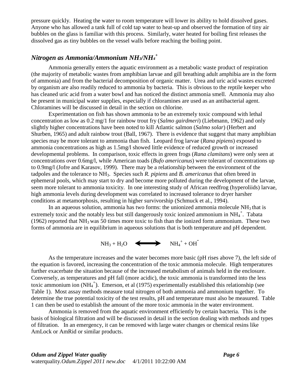pressure quickly. Heating the water to room temperature will lower its ability to hold dissolved gases. Anyone who has allowed a tank full of cold tap water to heat-up and observed the formation of tiny air bubbles on the glass is familiar with this process. Similarly, water heated for boiling first releases the dissolved gas as tiny bubbles on the vessel walls before reaching the boiling point.

## <span id="page-6-0"></span>*Nitrogen as Ammonia/Ammonium NH3/NH<sup>4</sup> +*

Ammonia generally enters the aquatic environment as a metabolic waste product of respiration (the majority of metabolic wastes from amphibian larvae and gill breathing adult amphibia are in the form of ammonia) and from the bacterial decomposition of organic matter. Urea and uric acid wastes excreted by organism are also readily reduced to ammonia by bacteria. This is obvious to the reptile keeper who has cleaned uric acid from a water bowl and has noticed the distinct ammonia smell. Ammonia may also be present in municipal water supplies, especially if chloramines are used as an antibacterial agent. Chloramines will be discussed in detail in the section on chlorine.

Experimentation on fish has shown ammonia to be an extremely toxic compound with lethal concentration as low as 0.2 mg/1 for rainbow trout fry (*Salmo gairdmeri*) [\(Liebmann, 1962\)](#page-29-2) and only slightly higher concentrations have been noted to kill Atlantic salmon (*Salmo solar*) [\(Herbert and](#page-28-4)  [Shurben, 1965\)](#page-28-4) and adult rainbow trout [\(Ball, 1967\)](#page-28-5). There is evidence that suggest that many amphibian species may be more tolerant to ammonia than fish. Leopard frog larvae (*Rana pipiens*) exposed to ammonia concentrations as high as 1.5mg/l showed little evidence of reduced growth or increased developmental problems. In comparison, toxic effects in green frogs (*Rana clamitans*) were only seen at concentrations over 0.6mg/l, while American toads (*Bufo americanus*) were tolerant of concentrations up to 0.9mg/l [\(Jofre and Karasov, 1999\)](#page-28-6). There may be a relationship between the environment of the tadpoles and the tolerance to NH3. Species such *R. pipiens* and *B. americanus* that often breed in ephemeral pools, which may start to dry and become more polluted during the development of the larvae, seem more tolerant to ammonia toxicity. In one interesting study of African reedfrog (hyperoliids) larvae, high ammonia levels during development was correlated to increased tolerance to dryer harsher conditions at metamorphosis, resulting in higher survivorship [\(Schmuck et al., 1994\)](#page-29-3).

In an aqueous solution, ammonia has two forms: the unionized ammonia molecule  $NH<sub>3</sub>$  that is extremely toxic and the notably less but still dangerously toxic ionized ammonium in  $NH_4^+$ . Tabata [\(1962\)](#page-29-4) reported that  $NH_3$  was 50 times more toxic to fish than the ionized form ammonium. These two forms of ammonia are in equilibrium in aqueous solutions that is both temperature and pH dependent.

 $NH_3 + H_2O \quad \Longleftrightarrow \quad NH_4^+ + OH^-.$ 

As the temperature increases and the water becomes more basic (pH rises above 7), the left side of the equation is favored, increasing the concentration of the toxic ammonia molecule. High temperatures further exacerbate the situation because of the increased metabolism of animals held in the enclosure. Conversely, as temperatures and pH fall (more acidic), the toxic ammonia is transformed into the less toxic ammonium ion (NH<sub>4</sub><sup>+</sup>). Emerson, et al [\(1975\)](#page-28-7) experimentally established this relationship (see Table 1). Most assay methods measure total nitrogen of both ammonia and ammonium together. To determine the true potential toxicity of the test results, pH and temperature must also be measured. Table 1 can then be used to establish the amount of the more toxic ammonia in the water environment.

Ammonia is removed from the aquatic environment efficiently by certain bacteria. This is the basis of biological filtration and will be discussed in detail in the section dealing with methods and types of filtration. In an emergency, it can be removed with large water changes or chemical resins like AmLock or AmRid or similar products.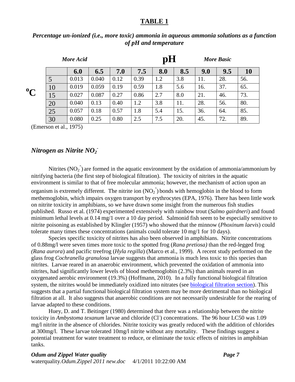#### **TABLE 1**

|             | More Acid |       |       |      | pH<br><b>More Basic</b> |     |     |     |     |     |
|-------------|-----------|-------|-------|------|-------------------------|-----|-----|-----|-----|-----|
|             |           | 6.0   | 6.5   | 7.0  | 7.5                     | 8.0 | 8.5 | 9.0 | 9.5 | 10  |
| $\rm ^{0}C$ | 5         | 0.013 | 0.040 | 0.12 | 0.39                    | 1.2 | 3.8 | 11. | 28. | 56. |
|             | 10        | 0.019 | 0.059 | 0.19 | 0.59                    | 1.8 | 5.6 | 16. | 37. | 65. |
|             | 15        | 0.027 | 0.087 | 0.27 | 0.86                    | 2.7 | 8.0 | 21. | 46. | 73. |
|             | 20        | 0.040 | 0.13  | 0.40 | 1.2                     | 3.8 | 11. | 28. | 56. | 80. |
|             | 25        | 0.057 | 0.18  | 0.57 | 1.8                     | 5.4 | 15. | 36. | 64. | 85. |
|             | 30        | 0.080 | 0.25  | 0.80 | 2.5                     | 7.5 | 20. | 45. | 72. | 89. |

#### *Percentage un-ionized (i.e., more toxic) ammonia in aqueous ammonia solutions as a function of pH and temperature*

[\(Emerson et al., 1975\)](#page-28-7)

## <span id="page-7-0"></span>*Nitrogen as Nitrite NO<sup>2</sup> -*

Nitrites  $(NO<sub>2</sub><sup>-</sup>)$  are formed in the aquatic environment by the oxidation of ammonia/ammonium by nitrifying bacteria (the first step of biological filtration). The toxicity of nitrites in the aquatic environment is similar to that of free molecular ammonia; however, the mechanism of action upon an organism is extremely different. The nitrite ion  $(NO<sub>2</sub>)$  bonds with hemoglobin in the blood to form methemoglobin, which impairs oxygen transport by erythrocytes (EPA, 1976). There has been little work on nitrite toxicity in amphibians, so we have drawn some insight from the numerous fish studies published. Russo et al. [\(1974\)](#page-29-5) experimented extensively with rainbow trout (*Salmo gairdneri*) and found minimum lethal levels at 0.14 mg/1 over a 10 day period. Salmonid fish seem to be especially sensitive to nitrite poisoning as established by Klingler [\(1957\)](#page-28-8) who showed that the minnow (*Phoxinum laevis*) could tolerate many times these concentrations (animals could tolerate 10 mg/1 for 10 days).

Species specific toxicity of nitrites has also been observed in amphibians. Nitrite concentrations of 0.88mg/l were seven times more toxic to the spotted frog (*Rana pretiosa)* than the red-legged frog *(Rana aurora*) and pacific treefrog (*Hyla regilla*) [\(Marco et al., 1999\)](#page-29-6). A recent study performed on the glass frog *Cochranella granulosa* larvae suggests that ammonia is much less toxic to this species than nitrites. Larvae reared in an anaerobic environment, which prevented the oxidation of ammonia into nitrites, had significantly lower levels of blood methemoglobin (2.3%) than animals reared in an oxygenated aerobic environment (19.3%) [\(Hoffmann, 2010\)](#page-28-3). In a fully functional biological filtration system, the nitrites would be immediately oxidized into nitrates (see [biological filtration section\)](#page-19-0). This suggests that a partial functional biological filtration system may be more detrimental than no biological filtration at all. It also suggests that anaerobic conditions are not necessarily undesirable for the rearing of larvae adapted to these conditions.

Huey, D. and T. Beitinger [\(1980\)](#page-28-9) determined that there was a relationship between the nitrite toxicity in *Ambystoma texanum* larvae and chloride (Cl<sup>-</sup>) concentrations. The 96 hour LC50 was 1.09 mg/l nitrite in the absence of chlorides. Nitrite toxicity was greatly reduced with the addition of chlorides at 300mg/l. These larvae tolerated 10mg/l nitrite without any mortality. These findings suggest a potential treatment for water treatment to reduce, or eliminate the toxic effects of nitrites in amphibian tanks.

#### *Odum and Zippel Water quality Page 7*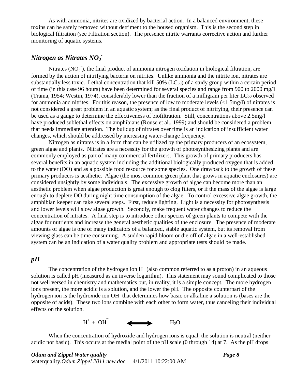As with ammonia, nitrites are oxidized by bacterial action. In a balanced environment, these toxins can be safely removed without detriment to the housed organism. This is the second step in biological filtration (see Filtration section). The presence nitrite warrants corrective action and further monitoring of aquatic systems.

## <span id="page-8-0"></span>*Nitrogen as Nitrates NO<sup>3</sup> -*

Nitrates ( $NO<sub>3</sub>$ ), the final product of ammonia nitrogen oxidation in biological filtration, are formed by the action of nitrifying bacteria on nitrites. Unlike ammonia and the nitrite ion, nitrates are substantially less toxic. Lethal concentration that kill 50% (LC<sub>50</sub>) of a study group within a certain period of time (in this case 96 hours) have been determined for several species and range from 900 to 2000 mg/1 [\(Trama, 1954;](#page-29-7) [Westin, 1974\)](#page-29-8), considerably lower than the fraction of a milligram per liter LC<sup>50</sup> observed for ammonia and nitrites. For this reason, the presence of low to moderate levels (<1.5mg/l) of nitrates is not considered a great problem in an aquatic system; as the final product of nitrifying, their presence can be used as a gauge to determine the effectiveness of biofiltration. Still, concentrations above 2.5mg/l have produced sublethal effects on amphibians [\(Rouse et al., 1999\)](#page-29-9) and should be considered a problem that needs immediate attention. The buildup of nitrates over time is an indication of insufficient water changes, which should be addressed by increasing water-change frequency.

Nitrogen as nitrates is in a form that can be utilized by the primary producers of an ecosystem, green algae and plants. Nitrates are a necessity for the growth of photosynthesizing plants and are commonly employed as part of many commercial fertilizers. This growth of primary producers has several benefits in an aquatic system including the additional biologically produced oxygen that is added to the water (DO) and as a possible food resource for some species. One drawback to the growth of these primary producers is aesthetic. Algae (the most common green plant that grows in aquatic enclosures) are considered unsightly by some individuals. The excessive growth of algae can become more than an aesthetic problem when algae production is great enough to clog filters, or if the mass of the algae is large enough to deplete DO during night time consumption of the algae. To control excessive algae growth, the amphibian keeper can take several steps. First, reduce lighting. Light is a necessity for photosynthesis and lower levels will slow algae growth. Secondly, make frequent water changes to reduce the concentration of nitrates. A final step is to introduce other species of green plants to compete with the algae for nutrients and increase the general aesthetic qualities of the enclosure. The presence of moderate amounts of algae is one of many indicators of a balanced, stable aquatic system, but its removal from viewing glass can be time consuming. A sudden rapid bloom or die off of algae in a well-established system can be an indication of a water quality problem and appropriate tests should be made.

#### <span id="page-8-1"></span>*pH*

The concentration of the hydrogen ion  $H^+$  (also common referred to as a proton) in an aqueous solution is called pH (measured as an inverse logarithm). This statement may sound complicated to those not well versed in chemistry and mathematics but, in reality, it is a simple concept. The more hydrogen ions present, the more acidic is a solution, and the lower the pH. The opposite counterpart of the hydrogen ion is the hydroxide ion OH $\overline{\phantom{a}}$  that determines how basic or alkaline a solution is (bases are the opposite of acids). These two ions combine with each other to form water, thus canceling their individual effects on the solution.



When the concentration of hydroxide and hydrogen ions is equal, the solution is neutral (neither acidic nor basic). This occurs at the medial point of the pH scale (0 through 14) at 7. As the pH drops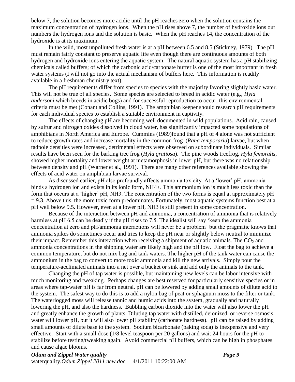below 7, the solution becomes more acidic until the pH reaches zero when the solution contains the maximum concentration of hydrogen ions. When the pH rises above 7, the number of hydroxide ions out numbers the hydrogen ions and the solution is basic. When the pH reaches 14, the concentration of the hydroxide is at its maximum.

In the wild, most unpolluted fresh water is at a pH between 6.5 and 8.5 [\(Stickney, 1979\)](#page-29-0). The pH must remain fairly constant to preserve aquatic life even though there are continuous amounts of both hydrogen and hydroxide ions entering the aquatic system. The natural aquatic system has a pH stabilizing chemicals called buffers; of which the carbonic acid/carbonate buffer is one of the most important in fresh water systems (I will not go into the actual mechanism of buffers here. This information is readily available in a freshman chemistry text).

The pH requirements differ from species to species with the majority favoring slightly basic water. This will not be true of all species. Some species are selected to breed in acidic water (e.g., *Hyla andersoni* which breeds in acidic bogs) and for successful reproduction to occur, this environmental criteria must be met [\(Conant and Collins, 1991\)](#page-28-10). The amphibian keeper should research pH requirements for each individual species to establish a suitable environment in captivity.

The effects of changing pH are becoming well documented in wild populations. Acid rain, caused by sulfur and nitrogen oxides dissolved in cloud water, has significantly impacted some populations of amphibians in North America and Europe. Cummins [\(1989\)](#page-28-11)found that a pH of 4 alone was not sufficient to reduce growth rates and increase mortality in the common frog (*Rana temporaria*) larvae, but when tadpole densities were increased, detrimental effects were observed on subordinate individuals. Similar results have been seen for the barking tree frog (*Hyla gratiosa*). The pine woods treefrog, *Hyla femoralis*, showed higher mortality and lower weight at metamorphosis in lower pH, but there was no relationship between density and pH [\(Warner et al., 1991\)](#page-29-10). There are many other references available showing the effects of acid water on amphibian larvae survival.

As discussed earlier, pH also profoundly affects ammonia toxicity. At a "lower" pH, ammonia binds a hydrogen ion and exists in its ionic form, NH4+. This ammonium ion is much less toxic than the form that occurs at a 'higher' pH, NH3. The concentration of the two forms is equal at approximately pH  $= 9.3$ . Above this, the more toxic form predominates. Fortunately, most aquatic systems function best at a pH well below 9.5. However, even at a lower pH, NH3 is still present in some concentration.

Because of the interaction between pH and ammonia, a concentration of ammonia that is relatively harmless at pH 6.5 can be deadly if the pH rises to 7.5. The idealist will say 'keep the ammonia concentration at zero and pH/ammonia interactions will never be a problem" but the pragmatic knows that ammonia spikes do sometimes occur and tries to keep the pH near or slightly below neutral to minimize their impact. Remember this interaction when receiving a shipment of aquatic animals. The  $CO<sub>2</sub>$  and ammonia concentrations in the shipping water are likely high and the pH low. Float the bag to achieve a common temperature, but do not mix bag and tank waters. The higher pH of the tank water can cause the ammonium in the bag to convert to more toxic ammonia and kill the new arrivals. Simply pour the temperature-acclimated animals into a net over a bucket or sink and add only the animals to the tank.

Changing the pH of tap water is possible, but maintaining new levels can be labor intensive with much monitoring and tweaking. Perhaps changes are best reserved for particularly sensitive species or in areas where tap-water pH is far from neutral. pH can be lowered by adding small amounts of dilute acid to the system. The safest way to do this is to add a nylon bag of peat or sphagnum moss to the filter or tank. The waterlogged moss will release tannic and humic acids into the system, gradually and naturally lowering the pH, and also the hardness. Bubbling carbon dioxide into the water will also lower the pH and greatly enhance the growth of plants. Diluting tap water with distilled, deionized, or reverse osmosis water will lower pH, but it will also lower pH stability (carbonate hardness). pH can be raised by adding small amounts of dilute base to the system. Sodium bicarbonate (baking soda) is inexpensive and very effective. Start with a small dose (1/8 level teaspoon per 20 gallons) and wait 24 hours for the pH to stabilize before testing/tweaking again. Avoid commercial pH buffers, which can be high in phosphates and cause algae blooms.

*Odum and Zippel Water quality Page 9* waterquality*.Odum.Zippel 2011 new.doc* 4/1/2011 10:22:00 AM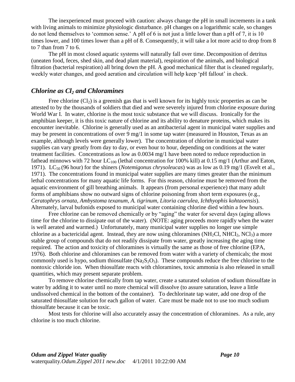The inexperienced must proceed with caution: always change the pH in small increments in a tank with living animals to minimize physiologic disturbance. pH changes on a logarithmic scale, so changes do not lend themselves to "common sense." A pH of 6 is not just a little lower than a pH of 7, it is 10 times lower, and 100 times lower than a pH of 8. Consequently, it will take a lot more acid to drop from 8 to 7 than from 7 to 6.

The pH in most closed aquatic systems will naturally fall over time. Decomposition of detritus (uneaten food, feces, shed skin, and dead plant material), respiration of the animals, and biological filtration (bacterial respiration) all bring down the pH. A good mechanical filter that is cleaned regularly, weekly water changes, and good aeration and circulation will help keep 'pH fallout' in check.

#### <span id="page-10-0"></span>*Chlorine as Cl<sup>2</sup> and Chloramines*

Free chlorine  $(Cl<sub>2</sub>)$  is a greenish gas that is well known for its highly toxic properties as can be attested to by the thousands of soldiers that died and were severely injured from chlorine exposure during World War I. In water, chlorine is the most toxic substance that we will discuss. Ironically for the amphibian keeper, it is this toxic nature of chlorine and its ability to denature proteins, which makes its encounter inevitable. Chlorine is generally used as an antibacterial agent in municipal water supplies and may be present in concentrations of over 9 mg/1 in some tap water (measured in Houston, Texas as an example, although levels were generally lower). The concentration of chlorine in municipal water supplies can vary greatly from day to day, or even hour to hour, depending on conditions at the water treatment facilities. Concentrations as low as 0.0034 mg/1 have been noted to reduce reproduction in fathead minnows with 72 hour  $LC_{100}$  (lethal concentration for 100% kill) at 0.15 mg/1 (Arthur and Eaton, [1971\)](#page-28-12). LC<sup>50</sup> (96 hour) for the shiners (*Notemigonus chrysoleucas*) was as low as 0.19 mg/1 [\(Esvelt et al.,](#page-28-13)  [1971\)](#page-28-13). The concentrations found in municipal water supplies are many times greater than the minimum lethal concentrations for many aquatic life forms. For this reason, chlorine must be removed from the aquatic environment of gill breathing animals. It appears (from personal experience) that many adult forms of amphibians show no outward signs of chlorine poisoning from short term exposures (e.g., *Ceratophrys ornata*, *Ambystoma texanum, A. tigrinum, Litoria caerulea, Ichthyophis kohtaoensis*). Alternately, larval bufonids exposed to municipal water containing chlorine died within a few hours.

Free chlorine can be removed chemically or by "aging" the water for several days (aging allows time for the chlorine to dissipate out of the water). (NOTE: aging proceeds more rapidly when the water is well aerated and warmed.) Unfortunately, many municipal water supplies no longer use simple chlorine as a bactericidal agent. Instead, they are now using chloramines (NH<sub>2</sub>Cl, NHCI<sub>2</sub>, NCl<sub>3</sub>) a more stable group of compounds that do not readily dissipate from water, greatly increasing the aging time required. The action and toxicity of chloramines is virtually the same as those of free chlorine (EPA, 1976). Both chlorine and chloramines can be removed from water with a variety of chemicals; the most commonly used is hypo, sodium thiosulfate (Na<sub>2</sub>S<sub>2</sub>O<sub>3</sub>). These compounds reduce the free chlorine to the nontoxic chloride ion. When thiosulfate reacts with chloramines, toxic ammonia is also released in small quantities, which may present separate problem.

To remove chlorine chemically from tap water, create a saturated solution of sodium thiosulfate in water by adding it to water until no more chemical will dissolve (to assure saturation, leave a little undissolved chemical in the bottom of the container). To dechlorinate tap water, add one drop of the saturated thiosulfate solution for each gallon of water. Care must be made not to use too much sodium thiosulfate because it can be toxic.

<span id="page-10-1"></span>Most tests for chlorine will also accurately assay the concentration of chloramines. As a rule, any chlorine is too much chlorine.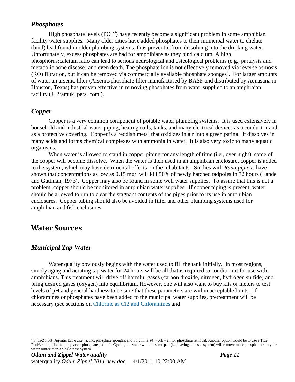#### <span id="page-11-0"></span>*Phosphates*

High phosphate levels  $(PO_4^{-3})$  have recently become a significant problem in some amphibian facility water supplies. Many older cities have added phosphates to their municipal water to chelate (bind) lead found in older plumbing systems, thus prevent it from dissolving into the drinking water. Unfortunately, excess phosphates are bad for amphibians as they bind calcium. A high phosphorus:calcium ratio can lead to serious neurological and osteological problems (e.g., paralysis and metabolic bone disease) and even death. The phosphate ion is not effectively removed via reverse osmosis  $(RO)$  filtration, but it can be removed via commercially available phosphate sponges<sup>1</sup>. For larger amounts of water an arsenic filter (Arsenic/phosphate filter manufactured by BASF and distributed by Aquasana in Houston, Texas) has proven effective in removing phosphates from water supplied to an amphibian facility (J. Pramuk, pers. com.).

#### <span id="page-11-1"></span>*Copper*

Copper is a very common component of potable water plumbing systems. It is used extensively in household and industrial water piping, heating coils, tanks, and many electrical devices as a conductor and as a protective covering. Copper is a reddish metal that oxidizes in air into a green patina. It dissolves in many acids and forms chemical complexes with ammonia in water. It is also very toxic to many aquatic organisms.

When water is allowed to stand in copper piping for any length of time (i.e., over night), some of the copper will become dissolve. When the water is then used in an amphibian enclosure, copper is added to the system, which may have detrimental effects on the inhabitants. Studies with *Rana pipiens* have shown that concentrations as low as 0.15 mg/l will kill 50% of newly hatched tadpoles in 72 hours (Lande and Guttman, 1973). Copper may also be found in some well water supplies. To assure that this is not a problem, copper should be monitored in amphibian water supplies. If copper piping is present, water should be allowed to run to clear the stagnant contents of the pipes prior to its use in amphibian enclosures. Copper tubing should also be avoided in filter and other plumbing systems used for amphibian and fish enclosures.

## <span id="page-11-2"></span>**Water Sources**

 $\overline{a}$ 

#### <span id="page-11-3"></span>*Municipal Tap Water*

Water quality obviously begins with the water used to fill the tank initially. In most regions, simply aging and aerating tap water for 24 hours will be all that is required to condition it for use with amphibians. This treatment will drive off harmful gases (carbon dioxide, nitrogen, hydrogen sulfide) and bring desired gases (oxygen) into equilibrium. However, one will also want to buy kits or meters to test levels of pH and general hardness to be sure that these parameters are within acceptable limits. If chloramines or phosphates have been added to the municipal water supplies, pretreatment will be necessary (see sections on Chlorine as Cl2 [and Chloramines](#page-10-0) and

<sup>1</sup> Phos-Zorb®, Aquatic Eco-systems, Inc. phosphate sponges, and Poly Filters® work well for phosphate removal. Another option would be to use a Tide Pool® sump filter and to place a phosphate pad in it. Cycling the water with the same pad (i.e., having a closed system) will remove more phosphate from your water source than a single-pass system.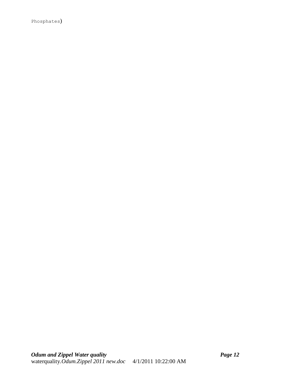<span id="page-12-0"></span>[Phosphates](#page-10-1))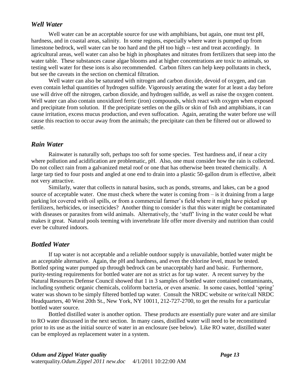#### *Well Water*

Well water can be an acceptable source for use with amphibians, but again, one must test pH, hardness, and in coastal areas, salinity. In some regions, especially where water is pumped up from limestone bedrock, well water can be too hard and the pH too high -- test and treat accordingly. In agricultural areas, well water can also be high in phosphates and nitrates from fertilizers that seep into the water table. These substances cause algae blooms and at higher concentrations are toxic to animals, so testing well water for these ions is also recommended. Carbon filters can help keep pollutants in check, but see the caveats in the section on chemical filtration.

Well water can also be saturated with nitrogen and carbon dioxide, devoid of oxygen, and can even contain lethal quantities of hydrogen sulfide. Vigorously aerating the water for at least a day before use will drive off the nitrogen, carbon dioxide, and hydrogen sulfide, as well as raise the oxygen content. Well water can also contain unoxidized ferric (iron) compounds, which react with oxygen when exposed and precipitate from solution. If the precipitate settles on the gills or skin of fish and amphibians, it can cause irritation, excess mucus production, and even suffocation. Again, aerating the water before use will cause this reaction to occur away from the animals; the precipitate can then be filtered out or allowed to settle.

#### <span id="page-13-0"></span>*Rain Water*

Rainwater is naturally soft, perhaps too soft for some species. Test hardness and, if near a city where pollution and acidification are problematic, pH. Also, one must consider how the rain is collected. Do not collect rain from a galvanized metal roof or one that has otherwise been treated chemically. A large tarp tied to four posts and angled at one end to drain into a plastic 50-gallon drum is effective, albeit not very attractive.

Similarly, water that collects in natural basins, such as ponds, streams, and lakes, can be a good source of acceptable water. One must check where the water is coming from – is it draining from a large parking lot covered with oil spills, or from a commercial farmer"s field where it might have picked up fertilizers, herbicides, or insecticides? Another thing to consider is that this water might be contaminated with diseases or parasites from wild animals. Alternatively, the 'stuff' living in the water could be what makes it great. Natural pools teeming with invertebrate life offer more diversity and nutrition than could ever be cultured indoors.

#### <span id="page-13-1"></span>*Bottled Water*

If tap water is not acceptable and a reliable outdoor supply is unavailable, bottled water might be an acceptable alternative. Again, the pH and hardness, and even the chlorine level, must be tested. Bottled spring water pumped up through bedrock can be unacceptably hard and basic. Furthermore, purity-testing requirements for bottled water are not as strict as for tap water. A recent survey by the Natural Resources Defense Council showed that 1 in 3 samples of bottled water contained contaminants, including synthetic organic chemicals, coliform bacteria, or even arsenic. In some cases, bottled "spring" water was shown to be simply filtered bottled tap water. Consult the NRDC website or write/call NRDC Headquarters, 40 West 20th St., New York, NY 10011, 212-727-2700, to get the results for a particular bottled water source.

Bottled distilled water is another option. These products are essentially pure water and are similar to RO water discussed in the next section. In many cases, distilled water will need to be reconstituted prior to its use as the initial source of water in an enclosure (see below). Like RO water, distilled water can be employed as replacement water in a system.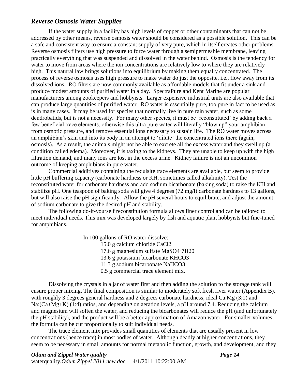#### <span id="page-14-0"></span>*Reverse Osmosis Water Supplies*

If the water supply in a facility has high levels of copper or other contaminants that can not be addressed by other means, reverse osmosis water should be considered as a possible solution. This can be a safe and consistent way to ensure a constant supply of very pure, which in itself creates other problems. Reverse osmosis filters use high pressure to force water through a semipermeable membrane, leaving practically everything that was suspended and dissolved in the water behind. Osmosis is the tendency for water to move from areas where the ion concentrations are relatively low to where they are relatively high. This natural law brings solutions into equilibrium by making them equally concentrated. The process of reverse osmosis uses high pressure to make water do just the opposite, i.e., flow away from its dissolved ions. RO filters are now commonly available as affordable models that fit under a sink and produce modest amounts of purified water in a day. SpectraPure and Kent Marine are popular manufacturers among zookeepers and hobbyists. Larger expensive industrial units are also available that can produce large quantities of purified water. RO water is essentially pure, too pure in fact to be used as is in many cases. It may be used for species that normally live in pure rain water, such as some dendrobatids*,* but is not a necessity. For many other species, it must be "reconstituted" by adding back a few beneficial trace elements, otherwise this ultra pure water will literally "blow up" your amphibian from osmotic pressure, and remove essential ions necessary to sustain life. The RO water moves across an amphibian's skin and into its body in an attempt to 'dilute' the concentrated ions there (again, osmosis). As a result, the animals might not be able to excrete all the excess water and they swell up (a condition called edema). Moreover, it is taxing to the kidneys. They are unable to keep up with the high filtration demand, and many ions are lost in the excess urine. Kidney failure is not an uncommon outcome of keeping amphibians in pure water.

Commercial additives containing the requisite trace elements are available, but seem to provide little pH buffering capacity (carbonate hardness or KH, sometimes called alkalinity). Test the reconstituted water for carbonate hardness and add sodium bicarbonate (baking soda) to raise the KH and stabilize pH. One teaspoon of baking soda will give 4 degrees (72 mg/l) carbonate hardness to 13 gallons, but will also raise the pH significantly. Allow the pH several hours to equilibrate, and adjust the amount of sodium carbonate to give the desired pH and stability.

The following do-it-yourself reconstitution formula allows finer control and can be tailored to meet individual needs. This mix was developed largely by fish and aquatic plant hobbyists but fine-tuned for amphibians.

In 100 gallons of RO water dissolve:

15.0 g calcium chloride CaCl2

17.6 g magnesium sulfate MgSO4·7H20

13.6 g potassium bicarbonate KHCO3

11.3 g sodium bicarbonate NaHCO3

0.5 g commercial trace element mix.

Dissolving the crystals in a jar of water first and then adding the solution to the storage tank will ensure proper mixing. The final composition is similar to moderately soft fresh river water (Appendix B), with roughly 3 degrees general hardness and 2 degrees carbonate hardness, ideal Ca:Mg (3:1) and Na:(Ca+Mg+K) (1:4) ratios, and depending on aeration levels, a pH around 7.4. Reducing the calcium and magnesium will soften the water, and reducing the bicarbonates will reduce the pH (and unfortunately the pH stability), and the product will be a better approximation of Amazon water. For smaller volumes, the formula can be cut proportionally to suit individual needs.

The trace element mix provides small quantities of elements that are usually present in low concentrations (hence trace) in most bodies of water. Although deadly at higher concentrations, they seem to be necessary in small amounts for normal metabolic function, growth, and development, and they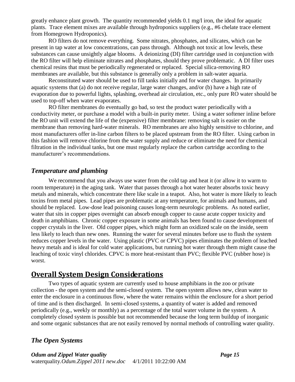greatly enhance plant growth. The quantity recommended yields 0.1 mg/l iron, the ideal for aquatic plants. Trace element mixes are available through hydroponics suppliers (e.g., #6 chelate trace element from Homegrown Hydroponics).

RO filters do not remove everything. Some nitrates, phosphates, and silicates, which can be present in tap water at low concentrations, can pass through. Although not toxic at low levels, these substances can cause unsightly algae blooms. A deionizing (DI) filter cartridge used in conjunction with the RO filter will help eliminate nitrates and phosphates, should they prove problematic. A DI filter uses chemical resins that must be periodically regenerated or replaced. Special silica-removing RO membranes are available, but this substance is generally only a problem in salt-water aquaria.

Reconstituted water should be used to fill tanks initially and for water changes. In primarily aquatic systems that (a) do not receive regular, large water changes, and/or (b) have a high rate of evaporation due to powerful lights, splashing, overhead air circulation, etc., only pure RO water should be used to top-off when water evaporates.

RO filter membranes do eventually go bad, so test the product water periodically with a conductivity meter, or purchase a model with a built-in purity meter. Using a water softener inline before the RO unit will extend the life of the (expensive) filter membrane: removing salt is easier on the membrane than removing hard-water minerals. RO membranes are also highly sensitive to chlorine, and most manufacturers offer in-line carbon filters to be placed upstream from the RO filter. Using carbon in this fashion will remove chlorine from the water supply and reduce or eliminate the need for chemical filtration in the individual tanks, but one must regularly replace the carbon cartridge according to the manufacturer's recommendations.

#### <span id="page-15-0"></span>*Temperature and plumbing*

We recommend that you always use water from the cold tap and heat it (or allow it to warm to room temperature) in the aging tank. Water that passes through a hot water heater absorbs toxic heavy metals and minerals, which concentrate there like scale in a teapot. Also, hot water is more likely to leach toxins from metal pipes. Lead pipes are problematic at any temperature, for animals and humans, and should be replaced. Low-dose lead poisoning causes long-term neurologic problems. As noted earlier, water that sits in copper pipes overnight can absorb enough copper to cause acute copper toxicity and death in amphibians. Chronic copper exposure in some animals has been found to cause development of copper crystals in the liver. Old copper pipes, which might form an oxidized scale on the inside, seem less likely to leach than new ones. Running the water for several minutes before use to flush the system reduces copper levels in the water. Using plastic (PVC or CPVC) pipes eliminates the problem of leached heavy metals and is ideal for cold water applications, but running hot water through them might cause the leaching of toxic vinyl chlorides. CPVC is more heat-resistant than PVC; flexible PVC (rubber hose) is worst.

## <span id="page-15-1"></span>**Overall System Design Considerations**

Two types of aquatic system are currently used to house amphibians in the zoo or private collection - the open system and the semi-closed system. The open system allows new, clean water to enter the enclosure in a continuous flow, where the water remains within the enclosure for a short period of time and is then discharged. In semi-closed systems, a quantity of water is added and removed periodically (e.g., weekly or monthly) as a percentage of the total water volume in the system. A completely closed system is possible but not recommended because the long term buildup of inorganic and some organic substances that are not easily removed by normal methods of controlling water quality.

#### <span id="page-15-2"></span>*The Open Systems*

*Odum and Zippel Water quality Page 15* waterquality*.Odum.Zippel 2011 new.doc* 4/1/2011 10:22:00 AM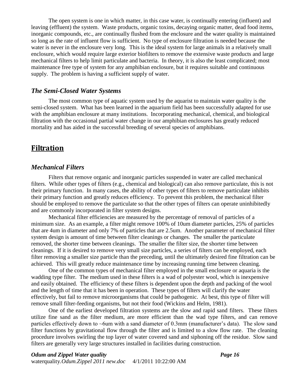The open system is one in which matter, in this case water, is continually entering (influent) and leaving (effluent) the system. Waste products, organic toxins, decaying organic matter, dead food items, inorganic compounds, etc., are continually flushed from the enclosure and the water quality is maintained so long as the rate of influent flow is sufficient. No type of enclosure filtration is needed because the water is never in the enclosure very long. This is the ideal system for large animals in a relatively small enclosure, which would require large exterior biofilters to remove the extensive waste products and large mechanical filters to help limit particulate and bacteria. In theory, it is also the least complicated; most maintenance free type of system for any amphibian enclosure, but it requires suitable and continuous supply. The problem is having a sufficient supply of water.

#### <span id="page-16-0"></span>*The Semi-Closed Water Systems*

The most common type of aquatic system used by the aquarist to maintain water quality is the semi-closed system. What has been learned in the aquarium field has been successfully adapted for use with the amphibian enclosure at many institutions. Incorporating mechanical, chemical, and biological filtration with the occasional partial water change in our amphibian enclosures has greatly reduced mortality and has aided in the successful breeding of several species of amphibians.

## <span id="page-16-1"></span>**Filtration**

#### <span id="page-16-2"></span>*Mechanical Filters*

Filters that remove organic and inorganic particles suspended in water are called mechanical filters. While other types of filters (e.g., chemical and biological) can also remove particulate, this is not their primary function. In many cases, the ability of other types of filters to remove particulate inhibits their primary function and greatly reduces efficiency. To prevent this problem, the mechanical filter should be employed to remove the particulate so that the other types of filters can operate uninhibitedly and are commonly incorporated in filter system designs.

Mechanical filter efficiencies are measured by the percentage of removal of particles of a minimum size. As an example, a filter might remove 100% of 10um diameter particles, 25% of particles that are 4um in diameter and only 7% of particles that are 2.5um. Another parameter of mechanical filter system design is amount of time between filter cleanings or changes. The smaller the particulate removed, the shorter time between cleanings. The smaller the filter size, the shorter time between cleanings. If it is desired to remove very small size particles, a series of filters can be employed, each filter removing a smaller size particle than the preceding, until the ultimately desired fine filtration can be achieved. This will greatly reduce maintenance time by increasing running time between cleaning.

One of the common types of mechanical filter employed in the small enclosure or aquaria is the wadding type filter. The medium used in these filters is a wad of polyester wool, which is inexpensive and easily obtained. The efficiency of these filters is dependent upon the depth and packing of the wool and the length of time that it has been in operation. These types of filters will clarify the water effectively, but fail to remove microorganisms that could be pathogenic. At best, this type of filter will remove small filter-feeding organisms, but not their food (Wickins and Helm, 1981).

One of the earliest developed filtration systems are the slow and rapid sand filters. These filters utilize fine sand as the filter medium, are more efficient than the wad type filters, and can remove particles effectively down to  $\sim$ 6um with a sand diameter of 0.3mm (manufacturer's data). The slow sand filter functions by gravitational flow through the filter and is limited to a slow flow rate. The cleaning procedure involves swirling the top layer of water covered sand and siphoning off the residue. Slow sand filters are generally very large structures installed in facilities during construction.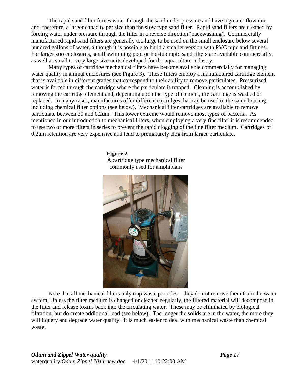The rapid sand filter forces water through the sand under pressure and have a greater flow rate and, therefore, a larger capacity per size than the slow type sand filter. Rapid sand filters are cleaned by forcing water under pressure through the filter in a reverse direction (backwashing). Commercially manufactured rapid sand filters are generally too large to be used on the small enclosure below several hundred gallons of water, although it is possible to build a smaller version with PVC pipe and fittings. For larger zoo enclosures, small swimming pool or hot-tub rapid sand filters are available commercially, as well as small to very large size units developed for the aquaculture industry.

Many types of cartridge mechanical filters have become available commercially for managing water quality in animal enclosures (see Figure 3). These filters employ a manufactured cartridge element that is available in different grades that correspond to their ability to remove particulates. Pressurized water is forced through the cartridge where the particulate is trapped. Cleaning is accomplished by removing the cartridge element and, depending upon the type of element, the cartridge is washed or replaced. In many cases, manufactures offer different cartridges that can be used in the same housing, including chemical filter options (see below). Mechanical filter cartridges are available to remove particulate between 20 and 0.2um. This lower extreme would remove most types of bacteria. As mentioned in our introduction to mechanical filters, when employing a very fine filter it is recommended to use two or more filters in series to prevent the rapid clogging of the fine filter medium. Cartridges of 0.2um retention are very expensive and tend to prematurely clog from larger particulate.

> **Figure 2** A cartridge type mechanical filter commonly used for amphibians



Note that all mechanical filters only trap waste particles – they do not remove them from the water system. Unless the filter medium is changed or cleaned regularly, the filtered material will decompose in the filter and release toxins back into the circulating water. These may be eliminated by biological filtration, but do create additional load (see below). The longer the solids are in the water, the more they will liquefy and degrade water quality. It is much easier to deal with mechanical waste than chemical waste.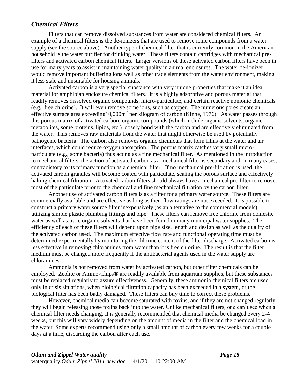#### <span id="page-18-0"></span>*Chemical Filters*

Filters that can remove dissolved substances from water are considered chemical filters. An example of a chemical filters is the de-ionizers that are used to remove ionic compounds from a water supply (see the source above). Another type of chemical filter that is currently common in the American household is the water purifier for drinking water. These filters contain cartridges with mechanical prefilters and activated carbon chemical filters. Larger versions of these activated carbon filters have been in use for many years to assist in maintaining water quality in animal enclosures. The water de-ionizer would remove important buffering ions well as other trace elements from the water environment, making it less stale and unsuitable for housing animals.

Activated carbon is a very special substance with very unique properties that make it an ideal material for amphibian enclosure chemical filters. It is a highly adsorptive and porous material that readily removes dissolved organic compounds, micro-particulate, and certain reactive nonionic chemicals (e.g., free chlorine). It will even remove some ions, such as copper. The numerous pores create an effective surface area exceeding10,000m<sup>2</sup> per kilogram of carbon [\(Kinne, 1976\)](#page-28-14). As water passes through this porous matrix of activated carbon, organic compounds (which include organic solvents, organic metabolites, some proteins, lipids, etc.) loosely bond with the carbon and are effectively eliminated from the water. This removes raw materials from the water that might otherwise be used by potentially pathogenic bacteria. The carbon also removes organic chemicals that form films at the water and air interfaces, which could reduce oxygen absorption. The porous matrix catches very small microparticulate (e.g., some bacteria) thus acting as a fine mechanical filter. As mentioned in the introduction to mechanical filters, the action of activated carbon as a mechanical filter is secondary and, in many cases, contradictory to its primary function as a chemical filter. If no mechanical pre-filtration is used, the activated carbon granules will become coated with particulate, sealing the porous surface and effectively halting chemical filtration. Activated carbon filters should always have a mechanical pre-filter to remove most of the particulate prior to the chemical and fine mechanical filtration by the carbon filter.

Another use of activated carbon filters is as a filter for a primary water source. These filters are commercially available and are effective as long as their flow ratings are not exceeded. It is possible to construct a primary water source filter inexpensively (as an alternative to the commercial models) utilizing simple plastic plumbing fittings and pipe. These filters can remove free chlorine from domestic water as well as trace organic solvents that have been found in many municipal water supplies. The efficiency of each of these filters will depend upon pipe size, length and design as well as the quality of the activated carbon used. The maximum effective flow rate and functional operating time must be determined experimentally by monitoring the chlorine content of the filter discharge. Activated carbon is less effective in removing chloramines from water than it is free chlorine. The result is that the filter medium must be changed more frequently if the antibacterial agents used in the water supply are chloramines.

Ammonia is not removed from water by activated carbon, but other filter chemicals can be employed. Zeolite or Ammo-Chips® are readily available from aquarium supplies, but these substances must be replaced regularly to assure effectiveness. Generally, these ammonia chemical filters are used only in crisis situations, when biological filtration capacity has been exceeded in a system, or the biological filter has been badly damaged. These filters can buy time to correct these problems.

However, chemical media can become saturated with toxins, and if they are not changed regularly they will begin releasing those toxins back into the water. Unlike mechanical filters, one can"t see when a chemical filter needs changing. It is generally recommended that chemical media be changed every 2-4 weeks, but this will vary widely depending on the amount of media in the filter and the chemical load in the water. Some experts recommend using only a small amount of carbon every few weeks for a couple days at a time, discarding the carbon after each use.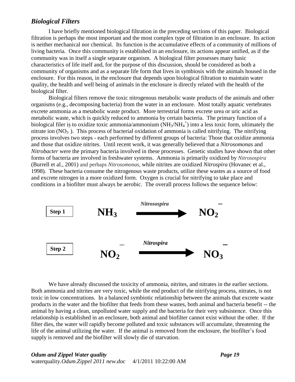#### <span id="page-19-0"></span>*Biological Filters*

I have briefly mentioned biological filtration in the preceding sections of this paper. Biological filtration is perhaps the most important and the most complex type of filtration in an enclosure. Its action is neither mechanical nor chemical. Its function is the accumulative effects of a community of millions of living bacteria. Once this community is established in an enclosure, its actions appear unified, as if the community was in itself a single separate organism. A biological filter possesses many basic characteristics of life itself and, for the purpose of this discussion, should be considered as both a community of organisms and as a separate life form that lives in symbiosis with the animals housed in the enclosure. For this reason, in the enclosure that depends upon biological filtration to maintain water quality, the health and well being of animals in the enclosure is directly related with the health of the biological filter.

Biological filters remove the toxic nitrogenous metabolic waste products of the animals and other organisms (e.g., decomposing bacteria) from the water in an enclosure. Most totally aquatic vertebrates excrete ammonia as a metabolic waste product. More terrestrial forms excrete urea or uric acid as metabolic waste, which is quickly reduced to ammonia by certain bacteria. The primary function of a biological filer is to oxidize toxic ammonia/ammonium  $(NH_3/NH_4^+)$  into a less toxic form, ultimately the nitrate ion  $(NO_3)$ . This process of bacterial oxidation of ammonia is called nitrifying. The nitrifying process involves two steps - each performed by different groups of bacteria: Those that oxidize ammonia and those that oxidize nitrites. Until recent work, it was generally believed that a *Nitrosomonas* and *Nitrobacter* were the primary bacteria involved in these processes. Genetic studies have shown that other forms of bacteria are involved in freshwater systems. Ammonia is primarily oxidized by *Nitrosospira* [\(Burrell et al., 2001\)](#page-28-15) and perhaps *Nitrosomonas,* while nitrites are oxidized *Nitrospira* [\(Hovanec et al.,](#page-28-16)  [1998\)](#page-28-16). These bacteria consume the nitrogenous waste products, utilize these wastes as a source of food and excrete nitrogen in a more oxidized form. Oxygen is crucial for nitrifying to take place and conditions in a biofilter must always be aerobic. The overall process follows the sequence below:



We have already discussed the toxicity of ammonia, nitrites, and nitrates in the earlier sections. Both ammonia and nitrites are very toxic, while the end product of the nitrifying process, nitrates, is not toxic in low concentrations. In a balanced symbiotic relationship between the animals that excrete waste products in the water and the biofilter that feeds from these wastes, both animal and bacteria benefit -- the animal by having a clean, unpolluted water supply and the bacteria for their very subsistence. Once this relationship is established in an enclosure, both animal and biofilter cannot exist without the other. If the filter dies, the water will rapidly become polluted and toxic substances will accumulate, threatening the life of the animal utilizing the water. If the animal is removed from the enclosure, the biofilter"s food supply is removed and the biofilter will slowly die of starvation.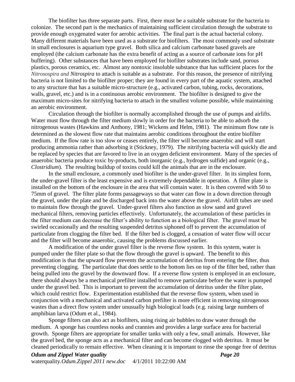The biofilter has three separate parts. First, there must be a suitable substrate for the bacteria to colonize. The second part is the mechanics of maintaining sufficient circulation through the substrate to provide enough oxygenated water for aerobic activities. The final part is the actual bacterial colony. Many different materials have been used as a substrate for biofilters. The most commonly used substrate in small enclosures is aquarium type gravel. Both silica and calcium carbonate based gravels are employed (the calcium carbonate has the extra benefit of acting as a source of carbonate ions for pH buffering). Other substances that have been employed for biofilter substrates include sand, porous plastics, porous ceramics, etc. Almost any nontoxic insoluble substance that has sufficient places for the *Nitrosospira and Nitrospira* to attach is suitable as a substrate. For this reason, the presence of nitrifying bacteria is not limited to the biofilter proper; they are found in every part of the aquatic system, attached to any structure that has a suitable micro-structure (e.g., activated carbon, tubing, rocks, decorations, walls, gravel, etc.) and is in a continuous aerobic environment. The biofilter is designed to give the maximum micro-sites for nitrifying bacteria to attach in the smallest volume possible, while maintaining an aerobic environment.

Circulation through the biofilter is normally accomplished through the use of pumps and airlifts. Water must flow through the filter medium slowly in order for the bacteria to be able to adsorb the nitrogenous wastes [\(Hawkins and Anthony, 1981;](#page-28-17) [Wickens and Helm, 1981\)](#page-29-11). The minimum flow rate is determined as the slowest flow rate that maintains aerobic conditions throughout the entire biofilter medium. If the flow rate is too slow or ceases entirely, the filter will become anaerobic and will start producing ammonia rather than adsorbing it [\(Stickney, 1979\)](#page-29-0). The nitrifying bacteria will quickly die and be replaced by species that are favored to live in an oxygen deficient environment. Many of the species of anaerobic bacteria produce toxic by-products, both inorganic (e.g., hydrogen sulfide) and organic (e.g., *Clostridium*). The resulting buildup of toxins could kill the animals that are in the enclosure.

In the small enclosure, a commonly used biofilter is the under-gravel filter. In its simplest form, the under-gravel filter is the least expensive and is extremely dependable in operation. A filter plate is installed on the bottom of the enclosure in the area that will contain water. It is then covered with 50 to 75mm of gravel. The filter plate forms passageways so that water can flow in a down direction through the gravel, under the plate and be discharged back into the water above the gravel. Airlift tubes are used to maintain flow through the gravel. Under-gravel filters also function as slow sand and gravel mechanical filters, removing particles effectively. Unfortunately, the accumulation of these particles in the filter medium can decrease the filter"s ability to function as a biological filter. The gravel must be swirled occasionally and the resulting suspended detritus siphoned off to prevent the accumulation of particulate from clogging the filter bed. If the filter bed is clogged, a cessation of water flow will occur and the filter will become anaerobic, causing the problems discussed earlier.

A modification of the under gravel filter is the reverse flow system. In this system, water is pumped under the filter plate so that the flow through the gravel is upward. The benefit to this modification is that the upward flow prevents the accumulation of detritus from entering the filter, thus preventing clogging. The particulate that does settle to the bottom lies on top of the filter bed, rather than being pulled into the gravel by the downward flow. If a reverse flow system is employed in an enclosure, there should always be a mechanical prefilter installed to remove particulate before the water is pumped under the gravel bed. This is important to prevent the accumulation of detritus under the filter plate, which could restrict flow. Experimentation established that the reverse flow system, when used in conjunction with a mechanical and activated carbon prefilter is more efficient in removing nitrogenous wastes than a direct flow system under unusually high biological loads (e.g. raising large numbers of amphibian larva [\(Odum et al., 1984\)](#page-29-1).

Sponge filters can also act as biofilters, using rising air bubbles to draw water through the medium. A sponge has countless nooks and crannies and provides a large surface area for bacterial growth. Sponge filters are appropriate for smaller tanks with only a few, small animals. However, like the gravel bed, the sponge acts as a mechanical filter and can become clogged with detritus. It must be cleaned periodically to remain effective. When cleaning it is important to rinse the sponge free of detritus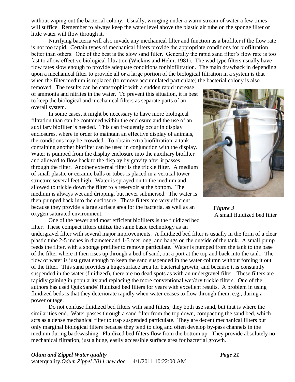without wiping out the bacterial colony. Usually, wringing under a warm stream of water a few times will suffice. Remember to always keep the water level above the plastic air tube on the sponge filter or little water will flow through it.

Nitrifying bacteria will also invade any mechanical filter and function as a biofilter if the flow rate is not too rapid. Certain types of mechanical filters provide the appropriate conditions for biofiltration better than others. One of the best is the slow sand filter. Generally the rapid sand filter"s flow rate is too fast to allow effective biological filtration (Wickins and Helm, 1981). The wad type filters usually have flow rates slow enough to provide adequate conditions for biofiltration. The main drawback in depending upon a mechanical filter to provide all or a large portion of the biological filtration in a system is that when the filter medium is replaced (to remove accumulated particulate) the bacterial colony is also

removed. The results can be catastrophic with a sudden rapid increase of ammonia and nitrites in the water. To prevent this situation, it is best to keep the biological and mechanical filters as separate parts of an overall system.

In some cases, it might be necessary to have more biological filtration than can be contained within the enclosure and the use of an auxiliary biofilter is needed. This can frequently occur in display enclosures, where in order to maintain an effective display of animals, the conditions may be crowded. To obtain extra biofiltration, a tank containing another biofilter can be used in conjunction with the display. Water is pumped from the display enclosure into the auxiliary biofilter and allowed to flow back to the display by gravity after it passes through the filter. Another external filter is the trickle filter. A medium of small plastic or ceramic balls or tubes is placed in a vertical tower structure several feet high. Water is sprayed on to the medium and allowed to trickle down the filter to a reservoir at the bottom. The medium is always wet and dripping, but never submersed. The water is then pumped back into the enclosure. These filters are very efficient because they provide a large surface area for the bacteria, as well as an oxygen saturated environment.

One of the newer and most efficient biofilters is the fluidized bed filter. These compact filters utilize the same basic technology as an



*Figure 3* A small fluidized bed filter

undergravel filter with several major improvements. A fluidized bed filter is usually in the form of a clear plastic tube 2-5 inches in diameter and 1-3 feet long, and hangs on the outside of the tank. A small pump feeds the filter, with a sponge prefilter to remove particulate. Water is pumped from the tank to the base of the filter where it then rises up through a bed of sand, out a port at the top and back into the tank. The flow of water is just great enough to keep the sand suspended in the water column without forcing it out of the filter. This sand provides a huge surface area for bacterial growth, and because it is constantly suspended in the water (fluidized), there are no dead spots as with an undergravel filter. These filters are rapidly gaining in popularity and replacing the more conventional wet/dry trickle filters. One of the authors has used QuikSand® fluidized bed filters for years with excellent results. A problem in using fluidized beds is that they deteriorate rapidly when water ceases to flow through them, e.g., during a power outage.

Do not confuse fluidized bed filters with sand filters; they both use sand, but that is where the similarities end. Water passes through a sand filter from the top down, compacting the sand bed, which acts as a dense mechanical filter to trap suspended particulate. They are decent mechanical filters but only marginal biological filters because they tend to clog and often develop by-pass channels in the medium during backwashing. Fluidized bed filters flow from the bottom up. They provide absolutely no mechanical filtration, just a huge, easily accessible surface area for bacterial growth.

#### *Odum and Zippel Water quality Page 21* waterquality*.Odum.Zippel 2011 new.doc* 4/1/2011 10:22:00 AM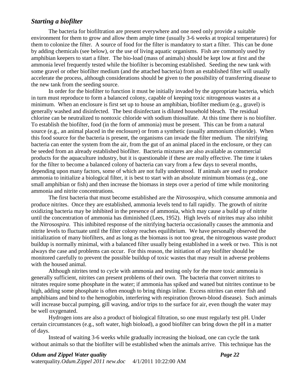#### <span id="page-22-0"></span>*Starting a biofilter*

The bacteria for biofiltration are present everywhere and one need only provide a suitable environment for them to grow and allow them ample time (usually 3-6 weeks at tropical temperatures) for them to colonize the filter. A source of food for the filter is mandatory to start a filter. This can be done by adding chemicals (see below), or the use of living aquatic organisms. Fish are commonly used by amphibian keepers to start a filter. The bio-load (mass of animals) should be kept low at first and the ammonia level frequently tested while the biofilter is becoming established. Seeding the new tank with some gravel or other biofilter medium (and the attached bacteria) from an established filter will usually accelerate the process, although considerations should be given to the possibility of transferring disease to the new tank from the seeding source.

In order for the biofilter to function it must be initially invaded by the appropriate bacteria, which in turn must reproduce to form a balanced colony, capable of keeping toxic nitrogenous wastes at a minimum. When an enclosure is first set up to house an amphibian, biofilter medium (e.g., gravel) is generally washed and disinfected. The best disinfectant is diluted household bleach. The residual chlorine can be neutralized to nontoxic chloride with sodium thiosulfate. At this time there is no biofilter. To establish the biofilter, food (in the form of ammonia) must be present. This can be from a natural source (e.g., an animal placed in the enclosure) or from a synthetic (usually ammonium chloride). When this food source for the bacteria is present, the organisms can invade the filter medium. The nitrifying bacteria can enter the system from the air, from the gut of an animal placed in the enclosure, or they can be seeded from an already established biofilter. Bacteria mixtures are also available as commercial products for the aquaculture industry, but it is questionable if these are really effective. The time it takes for the filter to become a balanced colony of bacteria can vary from a few days to several months, depending upon many factors, some of which are not fully understood. If animals are used to produce ammonia to initialize a biological filter, it is best to start with an absolute minimum biomass (e.g., one small amphibian or fish) and then increase the biomass in steps over a period of time while monitoring ammonia and nitrite concentrations.

The first bacteria that must become established are the *Nitrosospira,* which consume ammonia and produce nitrites. Once they are established, ammonia levels tend to fall rapidly. The growth of nitrite oxidizing bacteria may be inhibited in the presence of ammonia, which may cause a build up of nitrite until the concentration of ammonia has diminished [\(Lees, 1952\)](#page-28-18). High levels of nitrites may also inhibit the *Nitrosospira*. This inhibited response of the nitrifying bacteria occasionally causes the ammonia and nitrite levels to fluctuate until the filter colony reaches equilibrium. We have personally observed the initialization of many biofilters, and as long as the biomass is not too great, the nitrogenous waste product buildup is normally minimal, with a balanced filter usually being established in a week or two. This is not always the case and problems can occur. For this reason, the initiation of any biofilter should be monitored carefully to prevent the possible buildup of toxic wastes that may result in adverse problems with the housed animal.

Although nitrites tend to cycle with ammonia and testing only for the more toxic ammonia is generally sufficient, nitrites can present problems of their own. The bacteria that convert nitrites to nitrates require some phosphate in the water; if ammonia has spiked and waned but nitrites continue to be high, adding some phosphate is often enough to bring things inline. Excess nitrites can enter fish and amphibians and bind to the hemoglobin, interfering with respiration (brown-blood disease). Such animals will increase buccal pumping, gill waving, and/or trips to the surface for air, even though the water may be well oxygenated.

Hydrogen ions are also a product of biological filtration, so one must regularly test pH. Under certain circumstances (e.g., soft water, high bioload), a good biofilter can bring down the pH in a matter of days.

Instead of waiting 3-6 weeks while gradually increasing the bioload, one can cycle the tank without animals so that the biofilter will be established when the animals arrive. This technique has the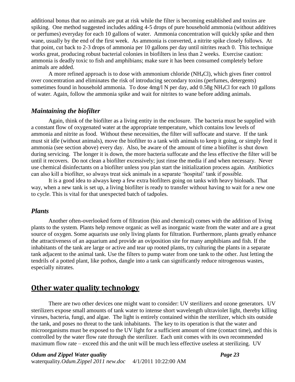additional bonus that no animals are put at risk while the filter is becoming established and toxins are spiking. One method suggested includes adding 4-5 drops of pure household ammonia (without additives or perfumes) everyday for each 10 gallons of water. Ammonia concentration will quickly spike and then wane, usually by the end of the first week. As ammonia is converted, a nitrite spike closely follows. At that point, cut back to 2-3 drops of ammonia per 10 gallons per day until nitrites reach 0. This technique works great, producing robust bacterial colonies in biofilters in less than 2 weeks. Exercise caution: ammonia is deadly toxic to fish and amphibians; make sure it has been consumed completely before animals are added.

A more refined approach is to dose with ammonium chloride (NH4Cl), which gives finer control over concentration and eliminates the risk of introducing secondary toxins (perfumes, detergents) sometimes found in household ammonia. To dose 4mg/l N per day, add 0.58g NH<sub>4</sub>Cl for each 10 gallons of water. Again, follow the ammonia spike and wait for nitrites to wane before adding animals.

#### <span id="page-23-0"></span>*Maintaining the biofilter*

Again, think of the biofilter as a living entity in the enclosure. The bacteria must be supplied with a constant flow of oxygenated water at the appropriate temperature, which contains low levels of ammonia and nitrite as food. Without these necessities, the filter will suffocate and starve. If the tank must sit idle (without animals), move the biofilter to a tank with animals to keep it going, or simply feed it ammonia (see section above) every day. Also, be aware of the amount of time a biofilter is shut down during servicing. The longer it is down, the more bacteria suffocate and the less effective the filter will be until it recovers. Do not clean a biofilter excessively; just rinse the media if and when necessary. Never use chemical disinfectants on a biofilter unless you plan start the initialization process again. Antibiotics can also kill a biofilter, so always treat sick animals in a separate "hospital" tank if possible.

It is a good idea to always keep a few extra biofilters going on tanks with heavy bioloads. That way, when a new tank is set up, a living biofilter is ready to transfer without having to wait for a new one to cycle. This is vital for that unexpected batch of tadpoles.

#### <span id="page-23-1"></span>*Plants*

Another often-overlooked form of filtration (bio and chemical) comes with the addition of living plants to the system. Plants help remove organic as well as inorganic waste from the water and are a great source of oxygen. Some aquarists use only living plants for filtration. Furthermore, plants greatly enhance the attractiveness of an aquarium and provide an oviposition site for many amphibians and fish. If the inhabitants of the tank are large or active and tear up rooted plants, try culturing the plants in a separate tank adjacent to the animal tank. Use the filters to pump water from one tank to the other. Just letting the tendrils of a potted plant, like pothos, dangle into a tank can significantly reduce nitrogenous wastes, especially nitrates.

## <span id="page-23-2"></span>**Other water quality technology**

There are two other devices one might want to consider: UV sterilizers and ozone generators. UV sterilizers expose small amounts of tank water to intense short wavelength ultraviolet light, thereby killing viruses, bacteria, fungi, and algae. The light is entirely contained within the sterilizer, which sits outside the tank, and poses no threat to the tank inhabitants. The key to its operation is that the water and microorganisms must be exposed to the UV light for a sufficient amount of time (contact time), and this is controlled by the water flow rate through the sterilizer. Each unit comes with its own recommended maximum flow rate – exceed this and the unit will be much less effective useless at sterilizing. UV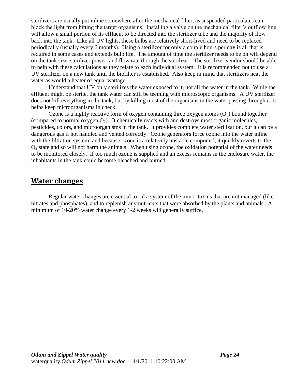sterilizers are usually put inline somewhere after the mechanical filter, as suspended particulates can block the light from hitting the target organisms. Installing a valve on the mechanical filter"s outflow line will allow a small portion of its effluent to be directed into the sterilizer tube and the majority of flow back into the tank. Like all UV lights, these bulbs are relatively short-lived and need to be replaced periodically (usually every 6 months). Using a sterilizer for only a couple hours per day is all that is required in some cases and extends bulb life. The amount of time the sterilizer needs to be on will depend on the tank size, sterilizer power, and flow rate through the sterilizer. The sterilizer vendor should be able to help with these calculations as they relate to each individual system. It is recommended not to use a UV sterilizer on a new tank until the biofilter is established. Also keep in mind that sterilizers heat the water as would a heater of equal wattage.

Understand that UV only sterilizes the water exposed to it, not all the water in the tank. While the effluent might be sterile, the tank water can still be teeming with microscopic organisms. A UV sterilizer does not kill everything in the tank, but by killing most of the organisms in the water passing through it, it helps keep microorganisms in check.

Ozone is a highly reactive form of oxygen containing three oxygen atoms  $(O_3)$  bound together (compared to normal oxygen  $O_2$ ). It chemically reacts with and destroys most organic molecules, pesticides, colors, and microorganisms in the tank. It provides complete water sterilization, but it can be a dangerous gas if not handled and vented correctly. Ozone generators force ozone into the water inline with the filtration system, and because ozone is a relatively unstable compound, it quickly reverts to the  $O<sub>2</sub>$  state and so will not harm the animals. When using ozone, the oxidation potential of the water needs to be monitored closely. If too much ozone is supplied and an excess remains in the enclosure water, the inhabitants in the tank could become bleached and burned.

## <span id="page-24-0"></span>**Water changes**

Regular water changes are essential to rid a system of the minor toxins that are not managed (like nitrates and phosphates), and to replenish any nutrients that were absorbed by the plants and animals. A minimum of 10-20% water change every 1-2 weeks will generally suffice.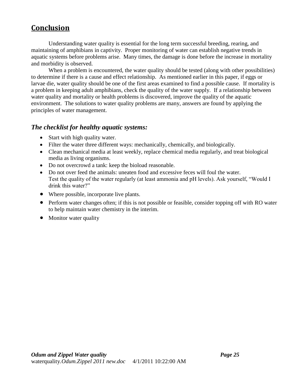## <span id="page-25-0"></span>**Conclusion**

Understanding water quality is essential for the long term successful breeding, rearing, and maintaining of amphibians in captivity. Proper monitoring of water can establish negative trends in aquatic systems before problems arise. Many times, the damage is done before the increase in mortality and morbidity is observed.

When a problem is encountered, the water quality should be tested (along with other possibilities) to determine if there is a cause and effect relationship. As mentioned earlier in this paper, if eggs or larvae die, water quality should be one of the first areas examined to find a possible cause. If mortality is a problem in keeping adult amphibians, check the quality of the water supply. If a relationship between water quality and mortality or health problems is discovered, improve the quality of the aquatic environment. The solutions to water quality problems are many, answers are found by applying the principles of water management.

#### <span id="page-25-1"></span>*The checklist for healthy aquatic systems:*

- Start with high quality water.
- Filter the water three different ways: mechanically, chemically, and biologically.
- Clean mechanical media at least weekly, replace chemical media regularly, and treat biological media as living organisms.
- Do not overcrowd a tank: keep the bioload reasonable.
- Do not over feed the animals: uneaten food and excessive feces will foul the water. Test the quality of the water regularly (at least ammonia and pH levels). Ask yourself, "Would I drink this water?"
- Where possible, incorporate live plants.
- Perform water changes often; if this is not possible or feasible, consider topping off with RO water to help maintain water chemistry in the interim.
- Monitor water quality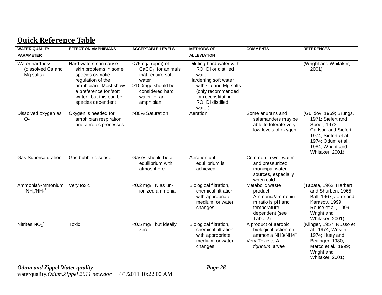## **Quick Reference Table**

<span id="page-26-0"></span>

| <b>WATER QUALITY</b>                             | <b>EFFECT ON AMPHIBIANS</b>                                                                                                                                                              | <b>ACCEPTABLE LEVELS</b>                                                                                                                    | <b>METHODS OF</b>                                                                                                                                                                 | <b>COMMENTS</b>                                                                                                 | <b>REFERENCES</b>                                                                                                                                                          |
|--------------------------------------------------|------------------------------------------------------------------------------------------------------------------------------------------------------------------------------------------|---------------------------------------------------------------------------------------------------------------------------------------------|-----------------------------------------------------------------------------------------------------------------------------------------------------------------------------------|-----------------------------------------------------------------------------------------------------------------|----------------------------------------------------------------------------------------------------------------------------------------------------------------------------|
| <b>PARAMETER</b>                                 |                                                                                                                                                                                          |                                                                                                                                             | <b>ALLEVIATION</b>                                                                                                                                                                |                                                                                                                 |                                                                                                                                                                            |
| Water hardness<br>(dissolved Ca and<br>Mg salts) | Hard waters can cause<br>skin problems in some<br>species osmotic<br>regulation of the<br>amphibian. Most show<br>a preference for 'soft<br>water', but this can be<br>species dependent | <75mg/l (ppm) of<br>$CaCO3$ for animals<br>that require soft<br>water<br>>100mg/l should be<br>considered hard<br>water for an<br>amphibian | Diluting hard water with<br>RO, DI or distilled<br>water<br>Hardening soft water<br>with Ca and Mg salts<br>(only recommended<br>for reconstituting<br>RO, DI distilled<br>water) |                                                                                                                 | (Wright and Whitaker,<br>2001)                                                                                                                                             |
| Dissolved oxygen as<br>O <sub>2</sub>            | Oxygen is needed for<br>amphibian respiration<br>and aerobic processes.                                                                                                                  | >80% Saturation                                                                                                                             | Aeration                                                                                                                                                                          | Some anurans and<br>salamanders may be<br>able to tolerate very<br>low levels of oxygen                         | (Gulidov, 1969; Brungs,<br>1971; Siefert and<br>Spoor, 1973;<br>Carlson and Siefert,<br>1974; Siefert et al.,<br>1974; Odum et al.,<br>1984; Wright and<br>Whitaker, 2001) |
| <b>Gas Supersaturation</b>                       | Gas bubble disease                                                                                                                                                                       | Gases should be at<br>equilibrium with<br>atmosphere                                                                                        | Aeration until<br>equilibrium is<br>achieved                                                                                                                                      | Common in well water<br>and pressurized<br>municipal water<br>sources, especially<br>when cold                  |                                                                                                                                                                            |
| Ammonia/Ammonium<br>$-NH_3/NH_4^+$               | Very toxic                                                                                                                                                                               | $<$ 0.2 mg/l, N as un-<br>ionized ammonia                                                                                                   | Biological filtration,<br>chemical filtration<br>with appropriate<br>medium, or water<br>changes                                                                                  | Metabolic waste<br>product<br>Ammonia/ammoniu<br>m ratio is pH and<br>temperature<br>dependent (see<br>Table 2) | (Tabata, 1962; Herbert<br>and Shurben, 1965;<br>Ball, 1967; Jofre and<br>Karasov, 1999;<br>Rouse et al., 1999;<br>Wright and<br>Whitaker, 2001)                            |
| Nitrites $NO2$                                   | Toxic                                                                                                                                                                                    | <0.5 mg/l, but ideally<br>zero                                                                                                              | Biological filtration,<br>chemical filtration<br>with appropriate<br>medium, or water<br>changes                                                                                  | A product of aerobic<br>biological action on<br>ammonia NH3/NH4+<br>Very Toxic to A.<br>tigrinum larvae         | (Klinger, 1957; Russo et<br>al., 1974; Westin,<br>1974; Huey and<br>Beitinger, 1980;<br>Marco et al., 1999;<br>Wright and<br>Whitaker, 2001;                               |

*Odum and Zippel Water quality Page 26* waterquality*.Odum.Zippel 2011 new.doc* 4/1/2011 10:22:00 AM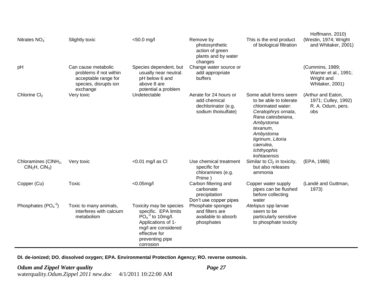| Nitrates $NO3$                                      | Slightly toxic                                                                                             | <50.0 mg/l                                                                                                                                                          | Remove by<br>photosynthetic<br>action of green<br>plants and by water<br>changes     | This is the end product<br>of biological filtration                                                                                                                                                                     | Hoffmann, 2010)<br>(Westin, 1974; Wright<br>and Whitaker, 2001)          |
|-----------------------------------------------------|------------------------------------------------------------------------------------------------------------|---------------------------------------------------------------------------------------------------------------------------------------------------------------------|--------------------------------------------------------------------------------------|-------------------------------------------------------------------------------------------------------------------------------------------------------------------------------------------------------------------------|--------------------------------------------------------------------------|
| pH                                                  | Can cause metabolic<br>problems if not within<br>acceptable range for<br>species, disrupts ion<br>exchange | Species dependent, but<br>usually near neutral.<br>pH below 6 and<br>above 8 are<br>potential a problem                                                             | Change water source or<br>add appropriate<br>buffers                                 |                                                                                                                                                                                                                         | (Cummins, 1989;<br>Warner et al., 1991;<br>Wright and<br>Whitaker, 2001) |
| Chlorine Cl <sub>2</sub>                            | Very toxic                                                                                                 | Undetectable                                                                                                                                                        | Aerate for 24 hours or<br>add chemical<br>dechlorinator (e.g.<br>sodium thoisulfate) | Some adult forms seem<br>to be able to tolerate<br>chlorinated water:<br>Ceratophrys ornata,<br>Rana catesbeiana,<br>Ambystoma<br>texanum,<br>Ambystoma<br>tigrinum, Litoria<br>caerulea,<br>Ichthyophis<br>kohtaoensis | (Arthur and Eaton,<br>1971; Culley, 1992)<br>R. A. Odum, pers.<br>obs    |
| Chloramines (CINH <sub>2</sub> ,<br>$CIN2H, CIN3$ ) | Very toxic                                                                                                 | <0.01 mg/l as Cl                                                                                                                                                    | Use chemical treatment<br>specific for<br>chloramines (e.g.<br>Prime)                | Similar to $Cl2$ in toxicity,<br>but also releases<br>ammonia                                                                                                                                                           | (EPA, 1986)                                                              |
| Copper (Cu)                                         | Toxic                                                                                                      | $<$ 0.05mg/l                                                                                                                                                        | Carbon filtering and<br>carbonate<br>precipitation<br>Don't use copper pipes         | Copper water supply<br>pipes can be flushed<br>before collecting<br>water                                                                                                                                               | (Landé and Guttman,<br>1973)                                             |
| Phosphates $(PO4-3)$                                | Toxic to many animals,<br>interferes with calcium<br>metabolism                                            | Toxicity may be species<br>specific. EPA limits<br>$PO4-3$ to 10mg/l.<br>Applications of 1-<br>mg/l are considered<br>effective for<br>preventing pipe<br>corrosion | Phosphate sponges<br>and filters are<br>available to absorb<br>phosphates            | Atelopus spp larvae<br>seem to be<br>particularly sensitive<br>to phosphate toxicity                                                                                                                                    |                                                                          |

**DI. de-ionized; DO. dissolved oxygen; EPA. Environmental Protection Agency; RO. reverse osmosis.**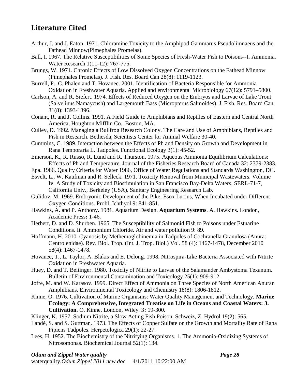## <span id="page-28-29"></span><span id="page-28-23"></span><span id="page-28-21"></span><span id="page-28-20"></span><span id="page-28-0"></span>**Literature Cited**

- <span id="page-28-30"></span><span id="page-28-12"></span>Arthur, J. and J. Eaton. 1971. Chloramine Toxicity to the Amphipod Gammarus Pseudolimnaeus and the Fathead Minnow(Pimephales Promelas).
- <span id="page-28-28"></span><span id="page-28-5"></span>Ball, I. 1967. The Relative Susceptibilities of Some Species of Fresh-Water Fish to Poisons--I. Ammonia. Water Research 1(11-12): 767-775.
- <span id="page-28-1"></span>Brungs, W. 1971. Chronic Effects of Low Dissolved Oxygen Concentrations on the Fathead Minnow (Pimephales Promelas). J. Fish. Res. Board Can 28(8): 1119-1123.
- <span id="page-28-31"></span><span id="page-28-15"></span>Burrell, P., C. Phalen and T. Hovanec. 2001. Identification of Bacteria Responsible for Ammonia Oxidation in Freshwater Aquaria. Applied and environmental Microbiology 67(12): 5791–5800.
- <span id="page-28-2"></span>Carlson, A. and R. Siefert. 1974. Effects of Reduced Oxygen on the Embryos and Larvae of Lake Trout (Salvelinus Namaycush) and Largemouth Bass (Micropterus Salmoides). J. Fish. Res. Board Can 31(8): 1393-1396.
- <span id="page-28-19"></span><span id="page-28-10"></span>Conant, R. and J. Collins. 1991. A Field Guide to Amphibians and Reptiles of Eastern and Central North America, Houghton Mifflin Co., Boston, MA.
- <span id="page-28-22"></span>Culley, D. 1992. Managing a Bullfrog Research Colony. The Care and Use of Amphibians, Reptiles and Fish in Research. Bethesda, Scientists Center for Animal Welfare 30-40.
- <span id="page-28-27"></span><span id="page-28-11"></span>Cummins, C. 1989. Interaction between the Effects of Ph and Density on Growth and Development in Rana Temporaria L. Tadpoles. Functional Ecology 3(1): 45-52.
- <span id="page-28-7"></span>Emerson, K., R. Russo, R. Lund and R. Thurston. 1975. Aqueous Ammonia Equilibrium Calculations: Effects of Ph and Temperature. Journal of the Fisheries Research Board of Canada 32: 2379-2383.
- Epa. 1986. Quality Criteria for Water 1986, Office of Water Regulations and Standards Washington, DC.
- <span id="page-28-26"></span><span id="page-28-13"></span>Esvelt, L., W. Kaufman and R. Selleck. 1971. Toxicity Removal from Municipal Wastewaters. Volume Iv. A Study of Toxicity and Biostimulation in San Francisco Bay-Delta Waters, SERL-71-7, California Univ., Berkeley (USA). Sanitary Engineering Research Lab.
- <span id="page-28-24"></span>Gulidov, M. 1969. Embryonic Development of the Pike, Esox Lucius, When Incubated under Different Oxygen Conditions. Probl. Ichthyol 9: 841-851.
- <span id="page-28-17"></span>Hawkins, A. and P. Anthony. 1981. Aquarium Design. **Aquarium Systems**. A. Hawkins. London, Academic Press**:** 1-46.
- <span id="page-28-25"></span><span id="page-28-4"></span>Herbert, D. and D. Shurben. 1965. The Susceptibility of Salmonid Fish to Poisons under Estuarine Conditions. Ii. Ammonium Chloride. Air and water pollution 9: 89.
- <span id="page-28-3"></span>Hoffmann, H. 2010. Cyanosis by Methemoglobinemia in Tadpoles of Cochranella Granulosa (Anura: Centrolenidae). Rev. Biol. Trop. (Int. J. Trop. Biol.) Vol. 58 (4): 1467-1478, December 2010 58(4): 1467-1478.
- <span id="page-28-16"></span>Hovanec, T., L. Taylor, A. Blakis and E. Delong. 1998. Nitrospira-Like Bacteria Associated with Nitrite Oxidation in Freshwater Aquaria.
- <span id="page-28-9"></span>Huey, D. and T. Beitinger. 1980. Toxicity of Nitrite to Larvae of the Salamander Ambystoma Texanum. Bulletin of Environmental Contamination and Toxicology 25(1): 909-912.
- <span id="page-28-6"></span>Jofre, M. and W. Karasov. 1999. Direct Effect of Ammonia on Three Species of North American Anuran Amphibians. Environmental Toxicology and Chemistry 18(8): 1806-1812.
- <span id="page-28-14"></span>Kinne, O. 1976. Cultivation of Marine Organisms: Water Quality Management and Technology. **Marine Ecology: A Comprehensive, Integrated Treatise on Life in Oceans and Coastal Waters: 3. Cultivation**. O. Kinne. London, Wiley. 3**:** 19-300.
- <span id="page-28-8"></span>Klinger, K. 1957. Sodium Nitrite, a Slow Acting Fish Poison. Schweiz, Z. Hydrol 19(2): 565.
- Landé, S. and S. Guttman. 1973. The Effects of Copper Sulfate on the Growth and Mortality Rate of Rana Pipiens Tadpoles. Herpetologica 29(1): 22-27.
- <span id="page-28-18"></span>Lees, H. 1952. The Biochemistry of the Nitrifying Organisms. 1. The Ammonia-Oxidizing Systems of Nitrosomonas. Biochemical Journal 52(1): 134.

#### *Odum and Zippel Water quality Page 28*